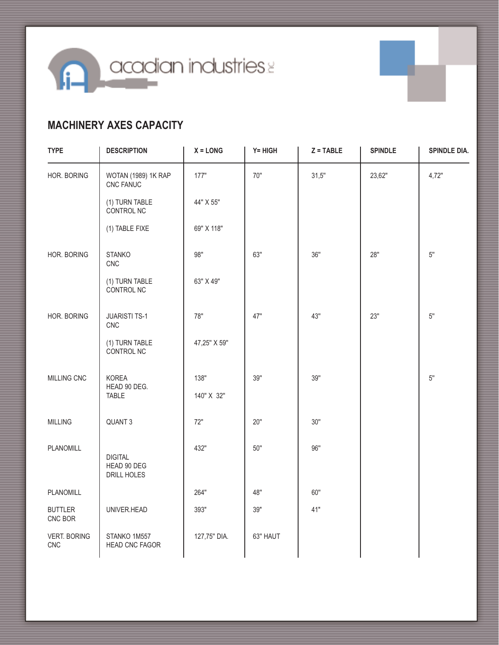**n** acadian industries

## **MACHINERY AXES CAPACITY**

| <b>TYPE</b>                | <b>DESCRIPTION</b>                           | $X = LONG$   | $Y = HIGH$ | $Z = TABLE$ | <b>SPINDLE</b> | SPINDLE DIA. |
|----------------------------|----------------------------------------------|--------------|------------|-------------|----------------|--------------|
| HOR. BORING                | WOTAN (1989) 1K RAP<br>CNC FANUC             | 177"         | 70"        | 31,5"       | 23,62"         | 4,72"        |
|                            | (1) TURN TABLE<br>CONTROL NC                 | 44" X 55"    |            |             |                |              |
|                            | (1) TABLE FIXE                               | 69" X 118"   |            |             |                |              |
| HOR. BORING                | <b>STANKO</b><br>CNC                         | 98"          | 63"        | 36"         | 28"            | $5"$         |
|                            | (1) TURN TABLE<br>CONTROL NC                 | 63" X 49"    |            |             |                |              |
| HOR. BORING                | <b>JUARISTI TS-1</b><br>CNC                  | 78"          | 47"        | 43"         | 23"            | $5"$         |
|                            | (1) TURN TABLE<br>CONTROL NC                 | 47,25" X 59" |            |             |                |              |
| MILLING CNC                | KOREA<br>HEAD 90 DEG.                        | 138"         | 39"        | 39"         |                | $5"$         |
|                            | <b>TABLE</b>                                 | 140" X 32"   |            |             |                |              |
| <b>MILLING</b>             | QUANT <sub>3</sub>                           | 72"          | 20"        | 30"         |                |              |
| <b>PLANOMILL</b>           | <b>DIGITAL</b><br>HEAD 90 DEG<br>DRILL HOLES | 432"         | 50"        | 96"         |                |              |
| PLANOMILL                  |                                              | 264"         | 48"        | 60"         |                |              |
| <b>BUTTLER</b><br>CNC BOR  | UNIVER.HEAD                                  | 393"         | 39"        | 41"         |                |              |
| <b>VERT. BORING</b><br>CNC | STANKO 1M557<br>HEAD CNC FAGOR               | 127,75" DIA. | 63" HAUT   |             |                |              |